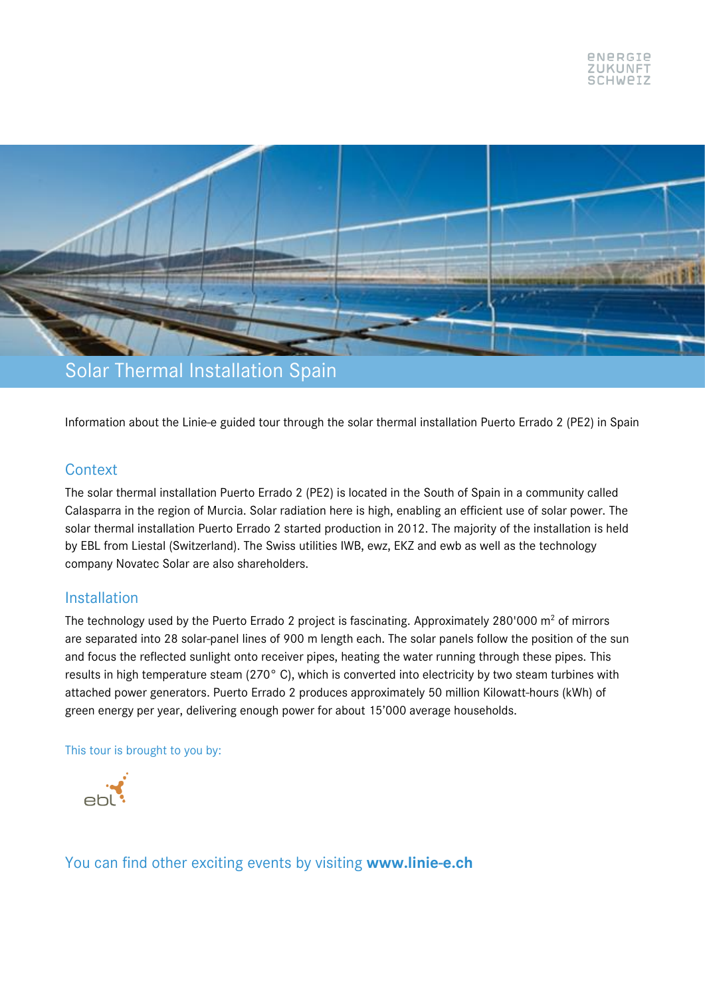

Information about the Linie-e guided tour through the solar thermal installation Puerto Errado 2 (PE2) in Spain

### **Context**

The solar thermal installation Puerto Errado 2 (PE2) is located in the South of Spain in a community called Calasparra in the region of Murcia. Solar radiation here is high, enabling an efficient use of solar power. The solar thermal installation Puerto Errado 2 started production in 2012. The majority of the installation is held by EBL from Liestal (Switzerland). The Swiss utilities IWB, ewz, EKZ and ewb as well as the technology company Novatec Solar are also shareholders.

#### Installation

The technology used by the Puerto Errado 2 project is fascinating. Approximately  $280'000 \text{ m}^2$  of mirrors are separated into 28 solar-panel lines of 900 m length each. The solar panels follow the position of the sun and focus the reflected sunlight onto receiver pipes, heating the water running through these pipes. This results in high temperature steam (270° C), which is converted into electricity by two steam turbines with attached power generators. Puerto Errado 2 produces approximately 50 million Kilowatt-hours (kWh) of green energy per year, delivering enough power for about 15'000 average households.

#### This tour is brought to you by:



You can find other exciting events by visiting **www.linie-e.ch**